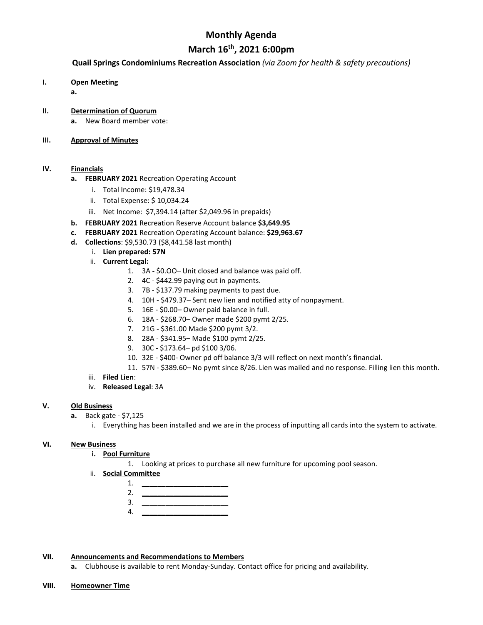## **Monthly Agenda**

## **March 16th, 2021 6:00pm**

#### **Quail Springs Condominiums Recreation Association** *(via Zoom for health & safety precautions)*

**I. Open Meeting**

**a.**

- **II. Determination of Quorum**
	- **a.** New Board member vote:

#### **III. Approval of Minutes**

#### **IV. Financials**

- **a. FEBRUARY 2021** Recreation Operating Account
	- i. Total Income: \$19,478.34
	- ii. Total Expense: \$ 10,034.24
	- iii. Net Income: \$7,394.14 (after \$2,049.96 in prepaids)
- **b. FEBRUARY 2021** Recreation Reserve Account balance **\$3,649.95**
- **c. FEBRUARY 2021** Recreation Operating Account balance: **\$29,963.67**
- **d. Collections**: \$9,530.73 (\$8,441.58 last month)
	- i. **Lien prepared: 57N**
	- ii. **Current Legal:**
		- 1. 3A \$0.OO– Unit closed and balance was paid off.
		- 2. 4C \$442.99 paying out in payments.
		- 3. 7B \$137.79 making payments to past due.
		- 4. 10H \$479.37– Sent new lien and notified atty of nonpayment.
		- 5. 16E \$0.00– Owner paid balance in full.
		- 6. 18A \$268.70– Owner made \$200 pymt 2/25.
		- 7. 21G \$361.00 Made \$200 pymt 3/2.
		- 8. 28A \$341.95– Made \$100 pymt 2/25.
		- 9. 30C \$173.64– pd \$100 3/06.
		- 10. 32E \$400- Owner pd off balance 3/3 will reflect on next month's financial.
		- 11. 57N \$389.60– No pymt since 8/26. Lien was mailed and no response. Filling lien this month.
	- iii. **Filed Lien**:
	- iv. **Released Legal**: 3A

#### **V. Old Business**

- **a.** Back gate \$7,125
	- i. Everything has been installed and we are in the process of inputting all cards into the system to activate.

#### **VI. New Business**

- **i. Pool Furniture**
	- 1. Looking at prices to purchase all new furniture for upcoming pool season.
- ii. **Social Committee**
	- 1. **\_\_\_\_\_\_\_\_\_\_\_\_\_\_\_\_\_\_\_\_\_\_** 2. **\_\_\_\_\_\_\_\_\_\_\_\_\_\_\_\_\_\_\_\_\_\_** 3. **\_\_\_\_\_\_\_\_\_\_\_\_\_\_\_\_\_\_\_\_\_\_**
	- 4. **\_\_\_\_\_\_\_\_\_\_\_\_\_\_\_\_\_\_\_\_\_\_**

#### **VII. Announcements and Recommendations to Members**

**a.** Clubhouse is available to rent Monday-Sunday. Contact office for pricing and availability.

**VIII. Homeowner Time**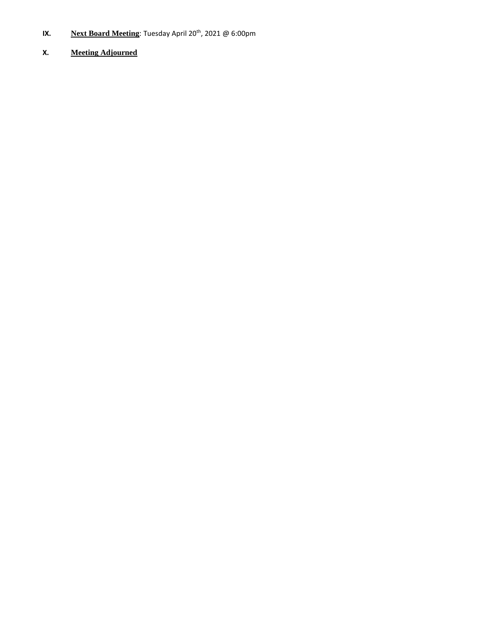- **IX. Next Board Meeting**: Tuesday April 20<sup>th</sup>, 2021 @ 6:00pm
- **X. Meeting Adjourned**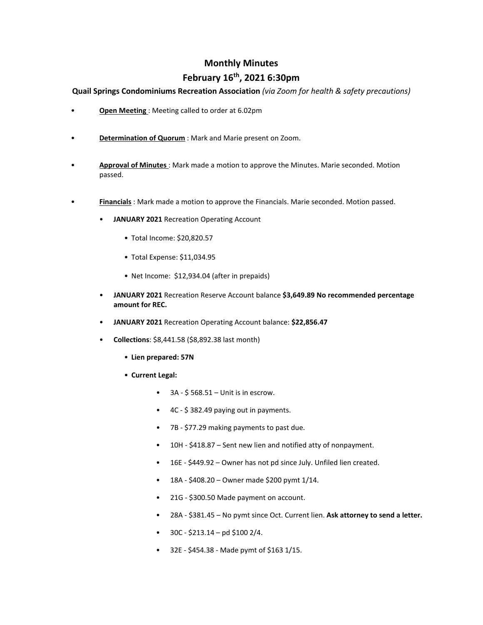## **Monthly Minutes**

## **February 16th, 2021 6:30pm**

**Quail Springs Condominiums Recreation Association** *(via Zoom for health & safety precautions)*

- **Open Meeting** : Meeting called to order at 6.02pm
- **Determination of Quorum**: Mark and Marie present on Zoom.
- **Approval of Minutes** : Mark made a motion to approve the Minutes. Marie seconded. Motion passed.
- **Financials** : Mark made a motion to approve the Financials. Marie seconded. Motion passed.
	- **JANUARY 2021** Recreation Operating Account
		- Total Income: \$20,820.57
		- Total Expense: \$11,034.95
		- Net Income: \$12,934.04 (after in prepaids)
	- **JANUARY 2021** Recreation Reserve Account balance **\$3,649.89 No recommended percentage amount for REC.**
	- **JANUARY 2021** Recreation Operating Account balance: **\$22,856.47**
	- **Collections**: \$8,441.58 (\$8,892.38 last month)
		- **Lien prepared: 57N**
		- **Current Legal:**
			- $\bullet$  3A \$568.51 Unit is in escrow.
			- 4C \$ 382.49 paying out in payments.
			- 7B \$77.29 making payments to past due.
			- 10H \$418.87 Sent new lien and notified atty of nonpayment.
			- 16E \$449.92 Owner has not pd since July. Unfiled lien created.
			- 18A \$408.20 Owner made \$200 pymt  $1/14$ .
			- 21G \$300.50 Made payment on account.
			- 28A \$381.45 No pymt since Oct. Current lien. **Ask attorney to send a letter.**
			- $30C $213.14 pd $100 2/4$ .
			- 32E \$454.38 Made pymt of \$163 1/15.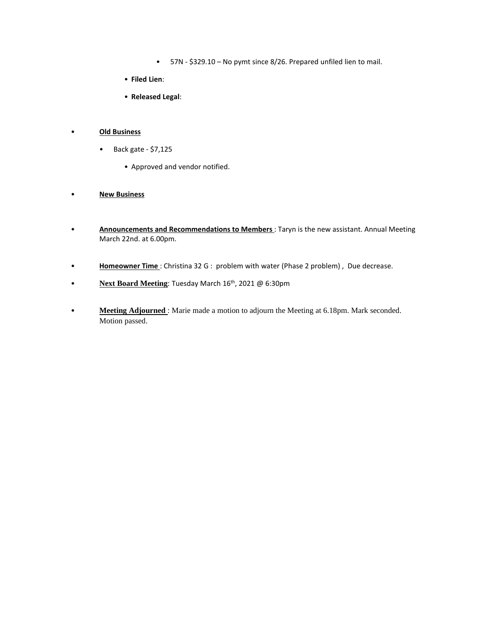- 57N \$329.10 No pymt since 8/26. Prepared unfiled lien to mail.
- **Filed Lien**:
- **Released Legal**:

#### • **Old Business**

- Back gate \$7,125
	- Approved and vendor notified.

#### • **New Business**

- **Announcements and Recommendations to Members** : Taryn is the new assistant. Annual Meeting March 22nd. at 6.00pm.
- **Homeowner Time** : Christina 32 G : problem with water (Phase 2 problem) , Due decrease.
- **Next Board Meeting**: Tuesday March 16<sup>th</sup>, 2021 @ 6:30pm
- **Meeting Adjourned** : Marie made a motion to adjourn the Meeting at 6.18pm. Mark seconded. Motion passed.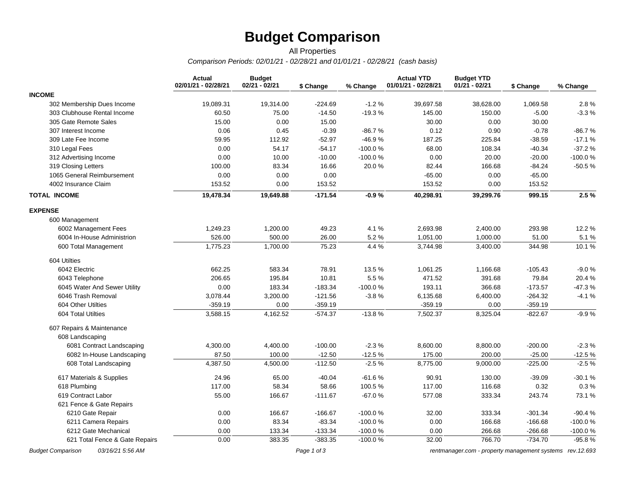# **Budget Comparison**

### *Comparison Periods: 02/01/21 - 02/28/21 and 01/01/21 - 02/28/21 (cash basis)* All Properties

|                                | <b>Actual</b><br>02/01/21 - 02/28/21 | <b>Budget</b><br>02/21 - 02/21 | \$ Change | % Change  | <b>Actual YTD</b><br>01/01/21 - 02/28/21 | <b>Budget YTD</b><br>$01/21 - 02/21$ | \$ Change | % Change  |
|--------------------------------|--------------------------------------|--------------------------------|-----------|-----------|------------------------------------------|--------------------------------------|-----------|-----------|
| <b>INCOME</b>                  |                                      |                                |           |           |                                          |                                      |           |           |
| 302 Membership Dues Income     | 19,089.31                            | 19,314.00                      | $-224.69$ | $-1.2%$   | 39,697.58                                | 38,628.00                            | 1,069.58  | 2.8%      |
| 303 Clubhouse Rental Income    | 60.50                                | 75.00                          | $-14.50$  | $-19.3%$  | 145.00                                   | 150.00                               | $-5.00$   | $-3.3%$   |
| 305 Gate Remote Sales          | 15.00                                | 0.00                           | 15.00     |           | 30.00                                    | 0.00                                 | 30.00     |           |
| 307 Interest Income            | 0.06                                 | 0.45                           | $-0.39$   | $-86.7%$  | 0.12                                     | 0.90                                 | $-0.78$   | $-86.7%$  |
| 309 Late Fee Income            | 59.95                                | 112.92                         | $-52.97$  | -46.9%    | 187.25                                   | 225.84                               | $-38.59$  | $-17.1%$  |
| 310 Legal Fees                 | 0.00                                 | 54.17                          | $-54.17$  | $-100.0%$ | 68.00                                    | 108.34                               | $-40.34$  | $-37.2%$  |
| 312 Advertising Income         | 0.00                                 | 10.00                          | $-10.00$  | $-100.0%$ | 0.00                                     | 20.00                                | $-20.00$  | -100.0%   |
| 319 Closing Letters            | 100.00                               | 83.34                          | 16.66     | 20.0%     | 82.44                                    | 166.68                               | $-84.24$  | $-50.5%$  |
| 1065 General Reimbursement     | 0.00                                 | 0.00                           | 0.00      |           | $-65.00$                                 | 0.00                                 | $-65.00$  |           |
| 4002 Insurance Claim           | 153.52                               | 0.00                           | 153.52    |           | 153.52                                   | 0.00                                 | 153.52    |           |
| <b>TOTAL INCOME</b>            | 19,478.34                            | 19,649.88                      | $-171.54$ | $-0.9%$   | 40,298.91                                | 39,299.76                            | 999.15    | 2.5%      |
| <b>EXPENSE</b>                 |                                      |                                |           |           |                                          |                                      |           |           |
| 600 Management                 |                                      |                                |           |           |                                          |                                      |           |           |
| 6002 Management Fees           | 1,249.23                             | 1,200.00                       | 49.23     | 4.1%      | 2,693.98                                 | 2,400.00                             | 293.98    | 12.2 %    |
| 6004 In-House Administrion     | 526.00                               | 500.00                         | 26.00     | 5.2%      | 1,051.00                                 | 1,000.00                             | 51.00     | 5.1 %     |
| 600 Total Management           | 1,775.23                             | 1,700.00                       | 75.23     | 4.4 %     | 3,744.98                                 | 3,400.00                             | 344.98    | 10.1%     |
| 604 Utilties                   |                                      |                                |           |           |                                          |                                      |           |           |
| 6042 Electric                  | 662.25                               | 583.34                         | 78.91     | 13.5%     | 1,061.25                                 | 1,166.68                             | $-105.43$ | $-9.0%$   |
| 6043 Telephone                 | 206.65                               | 195.84                         | 10.81     | 5.5%      | 471.52                                   | 391.68                               | 79.84     | 20.4%     |
| 6045 Water And Sewer Utility   | 0.00                                 | 183.34                         | $-183.34$ | $-100.0%$ | 193.11                                   | 366.68                               | $-173.57$ | $-47.3%$  |
| 6046 Trash Removal             | 3,078.44                             | 3,200.00                       | $-121.56$ | $-3.8%$   | 6,135.68                                 | 6,400.00                             | $-264.32$ | $-4.1%$   |
| 604 Other Utilties             | $-359.19$                            | 0.00                           | $-359.19$ |           | $-359.19$                                | 0.00                                 | $-359.19$ |           |
| 604 Total Utilties             | 3,588.15                             | 4,162.52                       | $-574.37$ | $-13.8%$  | 7,502.37                                 | 8,325.04                             | $-822.67$ | $-9.9%$   |
| 607 Repairs & Maintenance      |                                      |                                |           |           |                                          |                                      |           |           |
| 608 Landscaping                |                                      |                                |           |           |                                          |                                      |           |           |
| 6081 Contract Landscaping      | 4,300.00                             | 4,400.00                       | $-100.00$ | $-2.3%$   | 8,600.00                                 | 8,800.00                             | $-200.00$ | $-2.3%$   |
| 6082 In-House Landscaping      | 87.50                                | 100.00                         | $-12.50$  | $-12.5%$  | 175.00                                   | 200.00                               | $-25.00$  | $-12.5%$  |
| 608 Total Landscaping          | 4,387.50                             | 4,500.00                       | $-112.50$ | $-2.5%$   | 8,775.00                                 | 9,000.00                             | $-225.00$ | $-2.5%$   |
| 617 Materials & Supplies       | 24.96                                | 65.00                          | $-40.04$  | $-61.6%$  | 90.91                                    | 130.00                               | $-39.09$  | $-30.1%$  |
| 618 Plumbing                   | 117.00                               | 58.34                          | 58.66     | 100.5%    | 117.00                                   | 116.68                               | 0.32      | 0.3%      |
| 619 Contract Labor             | 55.00                                | 166.67                         | $-111.67$ | $-67.0%$  | 577.08                                   | 333.34                               | 243.74    | 73.1 %    |
| 621 Fence & Gate Repairs       |                                      |                                |           |           |                                          |                                      |           |           |
| 6210 Gate Repair               | 0.00                                 | 166.67                         | $-166.67$ | $-100.0%$ | 32.00                                    | 333.34                               | $-301.34$ | $-90.4%$  |
| 6211 Camera Repairs            | 0.00                                 | 83.34                          | $-83.34$  | $-100.0%$ | 0.00                                     | 166.68                               | $-166.68$ | $-100.0%$ |
| 6212 Gate Mechanical           | 0.00                                 | 133.34                         | $-133.34$ | $-100.0%$ | 0.00                                     | 266.68                               | $-266.68$ | $-100.0%$ |
| 621 Total Fence & Gate Repairs | 0.00                                 | 383.35                         | $-383.35$ | $-100.0%$ | 32.00                                    | 766.70                               | $-734.70$ | $-95.8%$  |

*Budget Comparison 03/16/21 5:56 AM Page 1 of 3 [rentmanager.com - property management systems rev.12.693](http://www.rentmanager.com)*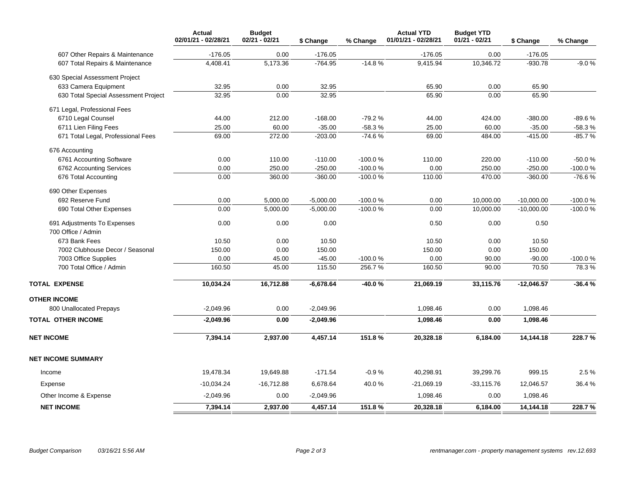|                                      | <b>Actual</b><br>02/01/21 - 02/28/21 | <b>Budget</b><br>02/21 - 02/21 | \$ Change   | % Change  | <b>Actual YTD</b><br>01/01/21 - 02/28/21 | <b>Budget YTD</b><br>$01/21 - 02/21$ | \$ Change    | % Change  |
|--------------------------------------|--------------------------------------|--------------------------------|-------------|-----------|------------------------------------------|--------------------------------------|--------------|-----------|
| 607 Other Repairs & Maintenance      | $-176.05$                            | 0.00                           | $-176.05$   |           | $-176.05$                                | 0.00                                 | $-176.05$    |           |
| 607 Total Repairs & Maintenance      | 4,408.41                             | 5,173.36                       | $-764.95$   | $-14.8%$  | 9,415.94                                 | 10,346.72                            | $-930.78$    | $-9.0%$   |
| 630 Special Assessment Project       |                                      |                                |             |           |                                          |                                      |              |           |
| 633 Camera Equipment                 | 32.95                                | 0.00                           | 32.95       |           | 65.90                                    | 0.00                                 | 65.90        |           |
| 630 Total Special Assessment Project | 32.95                                | 0.00                           | 32.95       |           | 65.90                                    | 0.00                                 | 65.90        |           |
| 671 Legal, Professional Fees         |                                      |                                |             |           |                                          |                                      |              |           |
| 6710 Legal Counsel                   | 44.00                                | 212.00                         | $-168.00$   | $-79.2%$  | 44.00                                    | 424.00                               | $-380.00$    | $-89.6%$  |
| 6711 Lien Filing Fees                | 25.00                                | 60.00                          | $-35.00$    | $-58.3%$  | 25.00                                    | 60.00                                | $-35.00$     | $-58.3%$  |
| 671 Total Legal, Professional Fees   | 69.00                                | 272.00                         | $-203.00$   | $-74.6%$  | 69.00                                    | 484.00                               | $-415.00$    | $-85.7%$  |
| 676 Accounting                       |                                      |                                |             |           |                                          |                                      |              |           |
| 6761 Accounting Software             | 0.00                                 | 110.00                         | $-110.00$   | -100.0%   | 110.00                                   | 220.00                               | $-110.00$    | $-50.0%$  |
| 6762 Accounting Services             | 0.00                                 | 250.00                         | $-250.00$   | $-100.0%$ | 0.00                                     | 250.00                               | $-250.00$    | $-100.0%$ |
| 676 Total Accounting                 | 0.00                                 | 360.00                         | $-360.00$   | $-100.0%$ | 110.00                                   | 470.00                               | $-360.00$    | $-76.6%$  |
| 690 Other Expenses                   |                                      |                                |             |           |                                          |                                      |              |           |
| 692 Reserve Fund                     | 0.00                                 | 5,000.00                       | $-5,000.00$ | $-100.0%$ | 0.00                                     | 10,000.00                            | $-10,000.00$ | $-100.0%$ |
| 690 Total Other Expenses             | 0.00                                 | 5,000.00                       | $-5,000.00$ | $-100.0%$ | 0.00                                     | 10,000.00                            | $-10,000.00$ | $-100.0%$ |
| 691 Adjustments To Expenses          | 0.00                                 | 0.00                           | 0.00        |           | 0.50                                     | 0.00                                 | 0.50         |           |
| 700 Office / Admin                   |                                      |                                |             |           |                                          |                                      |              |           |
| 673 Bank Fees                        | 10.50                                | 0.00                           | 10.50       |           | 10.50                                    | 0.00                                 | 10.50        |           |
| 7002 Clubhouse Decor / Seasonal      | 150.00                               | 0.00                           | 150.00      |           | 150.00                                   | 0.00                                 | 150.00       |           |
| 7003 Office Supplies                 | 0.00                                 | 45.00                          | $-45.00$    | -100.0%   | 0.00                                     | 90.00                                | $-90.00$     | -100.0%   |
| 700 Total Office / Admin             | 160.50                               | 45.00                          | 115.50      | 256.7%    | 160.50                                   | 90.00                                | 70.50        | 78.3%     |
| <b>TOTAL EXPENSE</b>                 | 10,034.24                            | 16,712.88                      | $-6,678.64$ | $-40.0%$  | 21,069.19                                | 33,115.76                            | $-12,046.57$ | $-36.4%$  |
| <b>OTHER INCOME</b>                  |                                      |                                |             |           |                                          |                                      |              |           |
| 800 Unallocated Prepays              | $-2,049.96$                          | 0.00                           | $-2,049.96$ |           | 1,098.46                                 | 0.00                                 | 1,098.46     |           |
| <b>TOTAL OTHER INCOME</b>            | $-2,049.96$                          | 0.00                           | $-2,049.96$ |           | 1,098.46                                 | 0.00                                 | 1,098.46     |           |
| <b>NET INCOME</b>                    | 7,394.14                             | 2,937.00                       | 4,457.14    | 151.8%    | 20,328.18                                | 6,184.00                             | 14,144.18    | 228.7%    |
| <b>NET INCOME SUMMARY</b>            |                                      |                                |             |           |                                          |                                      |              |           |
| Income                               | 19,478.34                            | 19,649.88                      | $-171.54$   | $-0.9%$   | 40,298.91                                | 39,299.76                            | 999.15       | 2.5 %     |
| Expense                              | $-10,034.24$                         | $-16,712.88$                   | 6,678.64    | 40.0%     | $-21,069.19$                             | $-33,115.76$                         | 12,046.57    | 36.4%     |
| Other Income & Expense               | $-2,049.96$                          | 0.00                           | $-2,049.96$ |           | 1,098.46                                 | 0.00                                 | 1,098.46     |           |
| <b>NET INCOME</b>                    | 7,394.14                             | 2,937.00                       | 4,457.14    | 151.8%    | 20,328.18                                | 6,184.00                             | 14,144.18    | 228.7%    |